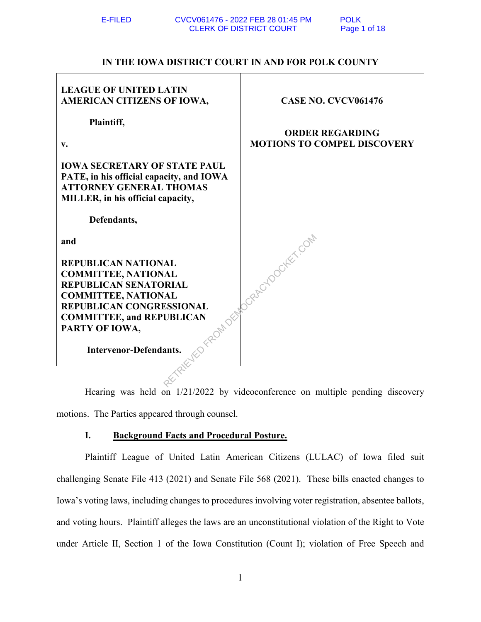# **IN THE IOWA DISTRICT COURT IN AND FOR POLK COUNTY**

| <b>LEAGUE OF UNITED LATIN</b><br>AMERICAN CITIZENS OF IOWA,                                                                                                                                                                                             | <b>CASE NO. CVCV061476</b>         |
|---------------------------------------------------------------------------------------------------------------------------------------------------------------------------------------------------------------------------------------------------------|------------------------------------|
| Plaintiff,                                                                                                                                                                                                                                              | <b>ORDER REGARDING</b>             |
| V.                                                                                                                                                                                                                                                      | <b>MOTIONS TO COMPEL DISCOVERY</b> |
| <b>IOWA SECRETARY OF STATE PAUL</b><br>PATE, in his official capacity, and IOWA<br><b>ATTORNEY GENERAL THOMAS</b><br>MILLER, in his official capacity,                                                                                                  |                                    |
| Defendants,                                                                                                                                                                                                                                             |                                    |
| and<br><b>REPUBLICAN NATIONAL</b><br><b>COMMITTEE, NATIONAL</b><br><b>REPUBLICAN SENATORIAL</b><br><b>COMMITTEE, NATIONAL</b><br><b>REPUBLICAN CONGRESSIONAL</b><br><b>COMMITTEE, and REPUBLICAN</b><br>PARTY OF IOWA,<br><b>Intervenor-Defendants.</b> | Jorger Woodker, Com                |
|                                                                                                                                                                                                                                                         |                                    |

Hearing was held on 1/21/2022 by videoconference on multiple pending discovery motions. The Parties appeared through counsel.

# **I. Background Facts and Procedural Posture.**

Plaintiff League of United Latin American Citizens (LULAC) of Iowa filed suit challenging Senate File 413 (2021) and Senate File 568 (2021). These bills enacted changes to Iowa's voting laws, including changes to procedures involving voter registration, absentee ballots, and voting hours. Plaintiff alleges the laws are an unconstitutional violation of the Right to Vote under Article II, Section 1 of the Iowa Constitution (Count I); violation of Free Speech and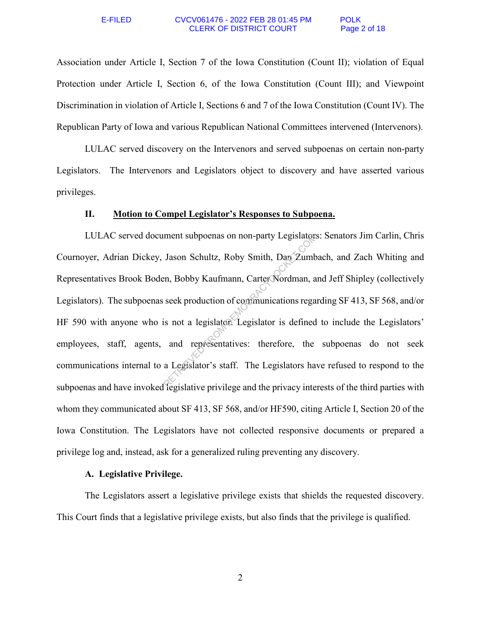### E-FILED CVCV061476 - 2022 FEB 28 01:45 PM CLERK OF DISTRICT COURT Page 2 of 18

Association under Article I, Section 7 of the Iowa Constitution (Count II); violation of Equal Protection under Article I, Section 6, of the Iowa Constitution (Count III); and Viewpoint Discrimination in violation of Article I, Sections 6 and 7 of the Iowa Constitution (Count IV). The Republican Party of Iowa and various Republican National Committees intervened (Intervenors).

LULAC served discovery on the Intervenors and served subpoenas on certain non-party Legislators. The Intervenors and Legislators object to discovery and have asserted various privileges.

# **II. Motion to Compel Legislator's Responses to Subpoena.**

LULAC served document subpoenas on non-party Legislators: Senators Jim Carlin, Chris Cournoyer, Adrian Dickey, Jason Schultz, Roby Smith, Dan Zumbach, and Zach Whiting and Representatives Brook Boden, Bobby Kaufmann, Carter Nordman, and Jeff Shipley (collectively Legislators). The subpoenas seek production of communications regarding SF 413, SF 568, and/or HF 590 with anyone who is not a legislator. Legislator is defined to include the Legislators' employees, staff, agents, and representatives: therefore, the subpoenas do not seek communications internal to a Legislator's staff. The Legislators have refused to respond to the subpoenas and have invoked legislative privilege and the privacy interests of the third parties with whom they communicated about SF 413, SF 568, and/or HF590, citing Article I, Section 20 of the Iowa Constitution. The Legislators have not collected responsive documents or prepared a privilege log and, instead, ask for a generalized ruling preventing any discovery. ment subpoenas on non-party Legislators<br>Jason Schultz, Roby Smith, Dan Zumb<br>en, Bobby Kaufmann, Carter Nordman, a<br>seek production of communications rega<br>is not a legislator. Legislator is defined<br>and representatives: there

## **A. Legislative Privilege.**

The Legislators assert a legislative privilege exists that shields the requested discovery. This Court finds that a legislative privilege exists, but also finds that the privilege is qualified.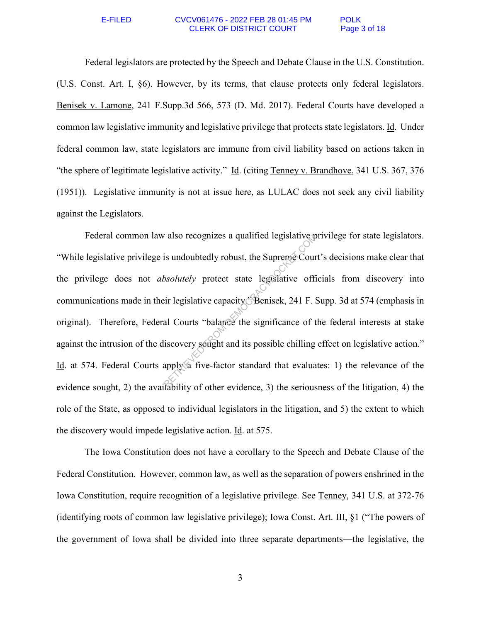### E-FILED CVCV061476 - 2022 FEB 28 01:45 PM CLERK OF DISTRICT COURT Page 3 of 18

Federal legislators are protected by the Speech and Debate Clause in the U.S. Constitution. (U.S. Const. Art. I, §6). However, by its terms, that clause protects only federal legislators. Benisek v. Lamone, 241 F.Supp.3d 566, 573 (D. Md. 2017). Federal Courts have developed a common law legislative immunity and legislative privilege that protects state legislators. Id. Under federal common law, state legislators are immune from civil liability based on actions taken in "the sphere of legitimate legislative activity." Id. (citing Tenney v. Brandhove, 341 U.S. 367, 376 (1951)). Legislative immunity is not at issue here, as LULAC does not seek any civil liability against the Legislators.

Federal common law also recognizes a qualified legislative privilege for state legislators. "While legislative privilege is undoubtedly robust, the Supreme Court's decisions make clear that the privilege does not *absolutely* protect state legislative officials from discovery into communications made in their legislative capacity. Benisek, 241 F. Supp. 3d at 574 (emphasis in original). Therefore, Federal Courts "balance the significance of the federal interests at stake against the intrusion of the discovery sought and its possible chilling effect on legislative action." Id. at 574. Federal Courts apply a five-factor standard that evaluates: 1) the relevance of the evidence sought, 2) the availability of other evidence, 3) the seriousness of the litigation, 4) the role of the State, as opposed to individual legislators in the litigation, and 5) the extent to which the discovery would impede legislative action. Id. at 575. The is undoubtedly robust, the Supreme Cour<br>
bsolutely protect state legislative official<br>
discussion of the significance of the significance of the significance of the<br>
discovery sought and its possible chilling<br>
apply a

The Iowa Constitution does not have a corollary to the Speech and Debate Clause of the Federal Constitution. However, common law, as well as the separation of powers enshrined in the Iowa Constitution, require recognition of a legislative privilege. See Tenney, 341 U.S. at 372-76 (identifying roots of common law legislative privilege); Iowa Const. Art. III, §1 ("The powers of the government of Iowa shall be divided into three separate departments—the legislative, the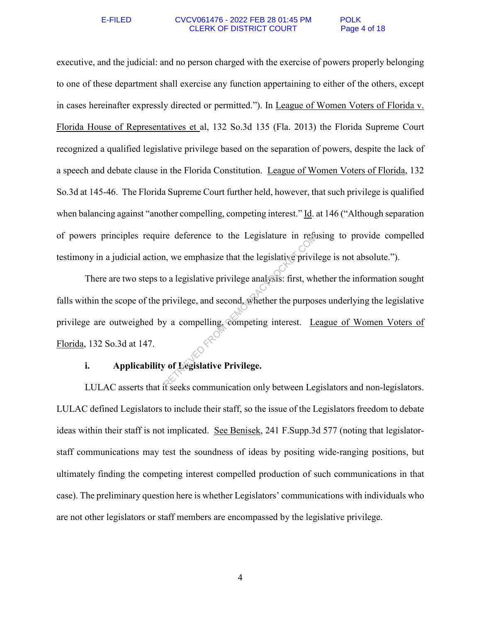### E-FILED CVCV061476 - 2022 FEB 28 01:45 PM POLK CLERK OF DISTRICT COURT Page 4 of 18

executive, and the judicial: and no person charged with the exercise of powers properly belonging to one of these department shall exercise any function appertaining to either of the others, except in cases hereinafter expressly directed or permitted."). In League of Women Voters of Florida v. Florida House of Representatives et al, 132 So.3d 135 (Fla. 2013) the Florida Supreme Court recognized a qualified legislative privilege based on the separation of powers, despite the lack of a speech and debate clause in the Florida Constitution. League of Women Voters of Florida, 132 So.3d at 145-46. The Florida Supreme Court further held, however, that such privilege is qualified when balancing against "another compelling, competing interest." Id. at 146 ("Although separation of powers principles require deference to the Legislature in refusing to provide compelled testimony in a judicial action, we emphasize that the legislative privilege is not absolute.").

There are two steps to a legislative privilege analysis: first, whether the information sought falls within the scope of the privilege, and second, whether the purposes underlying the legislative privilege are outweighed by a compelling, competing interest. League of Women Voters of Florida, 132 So.3d at 147. re deference to the Legislature in reader<br>
in , we emphasize that the legislative privile<br>
o a legislative privilege analysis: first, wh<br>
privilege, and second whether the purpos<br>
y a compelling, competing interest. Let

# **i. Applicability of Legislative Privilege.**

LULAC asserts that it seeks communication only between Legislators and non-legislators. LULAC defined Legislators to include their staff, so the issue of the Legislators freedom to debate ideas within their staff is not implicated. See Benisek, 241 F.Supp.3d 577 (noting that legislatorstaff communications may test the soundness of ideas by positing wide-ranging positions, but ultimately finding the competing interest compelled production of such communications in that case). The preliminary question here is whether Legislators' communications with individuals who are not other legislators or staff members are encompassed by the legislative privilege.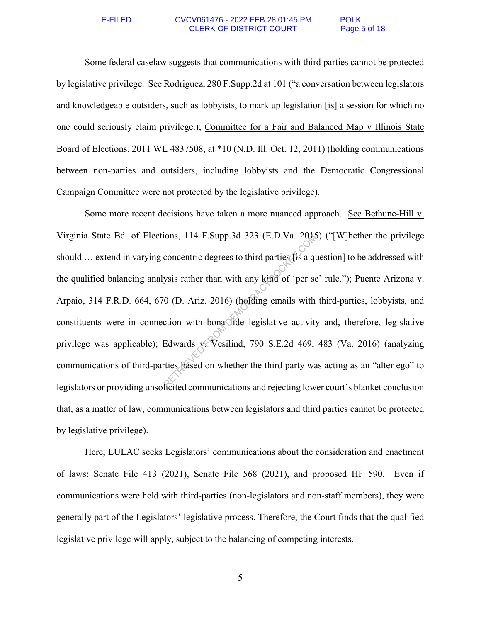### E-FILED CVCV061476 - 2022 FEB 28 01:45 PM POLK CLERK OF DISTRICT COURT Page 5 of 18

Some federal caselaw suggests that communications with third parties cannot be protected by legislative privilege. See Rodriguez, 280 F.Supp.2d at 101 ("a conversation between legislators and knowledgeable outsiders, such as lobbyists, to mark up legislation [is] a session for which no one could seriously claim privilege.); Committee for a Fair and Balanced Map v Illinois State Board of Elections, 2011 WL 4837508, at \*10 (N.D. Ill. Oct. 12, 2011) (holding communications between non-parties and outsiders, including lobbyists and the Democratic Congressional Campaign Committee were not protected by the legislative privilege).

Some more recent decisions have taken a more nuanced approach. See Bethune-Hill v. Virginia State Bd. of Elections, 114 F.Supp.3d 323 (E.D.Va. 2015) ("[W]hether the privilege should ... extend in varying concentric degrees to third parties (is a question] to be addressed with the qualified balancing analysis rather than with any kind of 'per se' rule."); Puente Arizona v. Arpaio, 314 F.R.D. 664, 670 (D. Ariz. 2016) (holding emails with third-parties, lobbyists, and constituents were in connection with bona fide legislative activity and, therefore, legislative privilege was applicable); Edwards v. Vesilind, 790 S.E.2d 469, 483 (Va. 2016) (analyzing communications of third-parties based on whether the third party was acting as an "alter ego" to legislators or providing unsolicited communications and rejecting lower court's blanket conclusion that, as a matter of law, communications between legislators and third parties cannot be protected by legislative privilege). FROM DEMONSIONS, 114 F.Supp.3d 323 (E.D.Va. 2018)<br>
concentric degrees to third parties (is a qu<br>
ysis rather than with any kind of 'per se<br>
(0 (D. Ariz. 2016) (holding emails with<br>
ction with bona fide legislative activity

Here, LULAC seeks Legislators' communications about the consideration and enactment of laws: Senate File 413 (2021), Senate File 568 (2021), and proposed HF 590. Even if communications were held with third-parties (non-legislators and non-staff members), they were generally part of the Legislators' legislative process. Therefore, the Court finds that the qualified legislative privilege will apply, subject to the balancing of competing interests.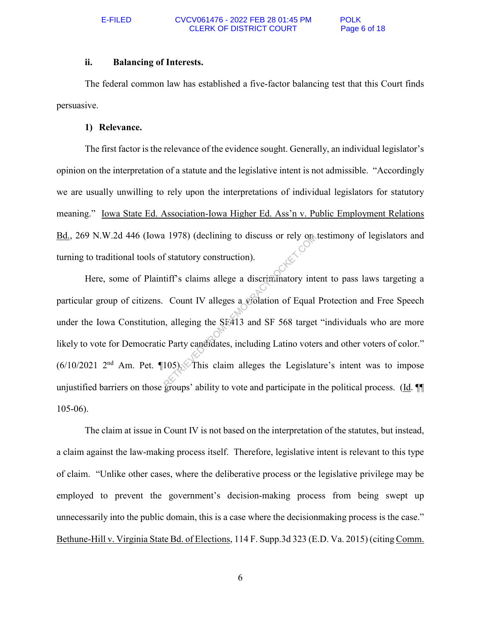## **ii. Balancing of Interests.**

The federal common law has established a five-factor balancing test that this Court finds persuasive.

## **1) Relevance.**

The first factor is the relevance of the evidence sought. Generally, an individual legislator's opinion on the interpretation of a statute and the legislative intent is not admissible. "Accordingly we are usually unwilling to rely upon the interpretations of individual legislators for statutory meaning." Iowa State Ed. Association-Iowa Higher Ed. Ass'n v. Public Employment Relations Bd., 269 N.W.2d 446 (Iowa 1978) (declining to discuss or rely on testimony of legislators and turning to traditional tools of statutory construction).

Here, some of Plaintiff's claims allege a discriminatory intent to pass laws targeting a particular group of citizens. Count IV alleges a violation of Equal Protection and Free Speech under the Iowa Constitution, alleging the SF413 and SF 568 target "individuals who are more likely to vote for Democratic Party candidates, including Latino voters and other voters of color."  $(6/10/2021 \t2<sup>nd</sup>$  Am. Pet.  $(105)$ . This claim alleges the Legislature's intent was to impose unjustified barriers on those groups' ability to vote and participate in the political process. (Id. ¶¶ 105-06). RETRIEVED (declining to discuss or rely one)<br>
f statutory construction).<br>
tiff's claims allege a discriminatory into<br>
Count IV alleges a gridation of Equal<br>
1, alleging the SEA13 and SF 568 target<br>
certains alleges the Leg

The claim at issue in Count IV is not based on the interpretation of the statutes, but instead, a claim against the law-making process itself. Therefore, legislative intent is relevant to this type of claim. "Unlike other cases, where the deliberative process or the legislative privilege may be employed to prevent the government's decision-making process from being swept up unnecessarily into the public domain, this is a case where the decisionmaking process is the case." Bethune-Hill v. Virginia State Bd. of Elections, 114 F. Supp.3d 323 (E.D. Va. 2015) (citing Comm.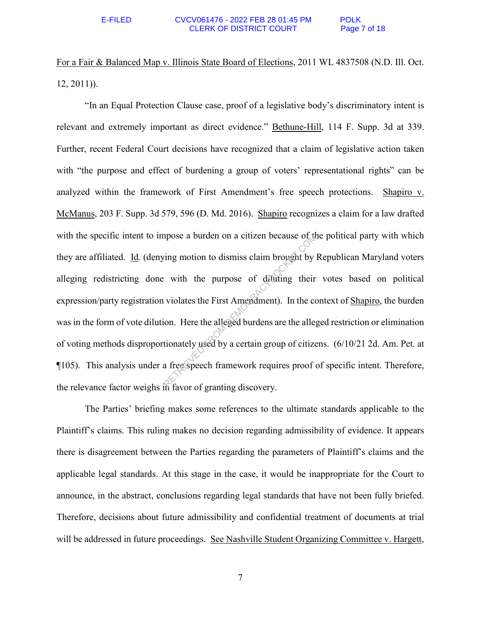For a Fair & Balanced Map v. Illinois State Board of Elections, 2011 WL 4837508 (N.D. Ill. Oct. 12, 2011)).

"In an Equal Protection Clause case, proof of a legislative body's discriminatory intent is relevant and extremely important as direct evidence." Bethune-Hill, 114 F. Supp. 3d at 339. Further, recent Federal Court decisions have recognized that a claim of legislative action taken with "the purpose and effect of burdening a group of voters' representational rights" can be analyzed within the framework of First Amendment's free speech protections. Shapiro v. McManus, 203 F. Supp. 3d 579, 596 (D. Md. 2016). Shapiro recognizes a claim for a law drafted with the specific intent to impose a burden on a citizen because of the political party with which they are affiliated. Id. (denying motion to dismiss claim brought by Republican Maryland voters alleging redistricting done with the purpose of diluting their votes based on political expression/party registration violates the First Amendment). In the context of Shapiro, the burden was in the form of vote dilution. Here the alleged burdens are the alleged restriction or elimination of voting methods disproportionately used by a certain group of citizens. (6/10/21 2d. Am. Pet. at ¶105). This analysis under a free speech framework requires proof of specific intent. Therefore, the relevance factor weighs in favor of granting discovery. a burden on a citizen because of the<br>
ring motion to dismiss claim brought by<br>
with the purpose of difulting their<br>
violates the First Amendment). In the co<br>
in Seventher and the alleged burdens are the alleged<br>
tionately

The Parties' briefing makes some references to the ultimate standards applicable to the Plaintiff's claims. This ruling makes no decision regarding admissibility of evidence. It appears there is disagreement between the Parties regarding the parameters of Plaintiff's claims and the applicable legal standards. At this stage in the case, it would be inappropriate for the Court to announce, in the abstract, conclusions regarding legal standards that have not been fully briefed. Therefore, decisions about future admissibility and confidential treatment of documents at trial will be addressed in future proceedings. See Nashville Student Organizing Committee v. Hargett,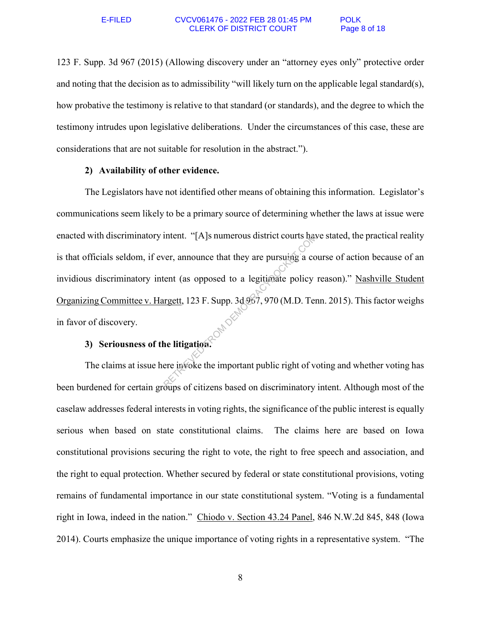123 F. Supp. 3d 967 (2015) (Allowing discovery under an "attorney eyes only" protective order and noting that the decision as to admissibility "will likely turn on the applicable legal standard(s), how probative the testimony is relative to that standard (or standards), and the degree to which the testimony intrudes upon legislative deliberations. Under the circumstances of this case, these are considerations that are not suitable for resolution in the abstract.").

# **2) Availability of other evidence.**

The Legislators have not identified other means of obtaining this information. Legislator's communications seem likely to be a primary source of determining whether the laws at issue were enacted with discriminatory intent. "[A]s numerous district courts have stated, the practical reality is that officials seldom, if ever, announce that they are pursuing a course of action because of an invidious discriminatory intent (as opposed to a legitimate policy reason)." Nashville Student Organizing Committee v. Hargett, 123 F. Supp. 3d 967, 970 (M.D. Tenn. 2015). This factor weighs in favor of discovery. The TRIET COURTS has<br>
The TRIET COURTS And the USE of the USE of the USE of the USE of the USE<br>
TRIET CASE OF THE USE OF THE USE OF THE RETRIEVED OF THE RETRIEVED OF THE RETRIEVED OF THE RETRIEVED OF CONTROL OF CHILD CASE.

## **3) Seriousness of the litigation.**

The claims at issue here invoke the important public right of voting and whether voting has been burdened for certain groups of citizens based on discriminatory intent. Although most of the caselaw addresses federal interests in voting rights, the significance of the public interest is equally serious when based on state constitutional claims. The claims here are based on Iowa constitutional provisions securing the right to vote, the right to free speech and association, and the right to equal protection. Whether secured by federal or state constitutional provisions, voting remains of fundamental importance in our state constitutional system. "Voting is a fundamental right in Iowa, indeed in the nation." Chiodo v. Section 43.24 Panel, 846 N.W.2d 845, 848 (Iowa 2014). Courts emphasize the unique importance of voting rights in a representative system. "The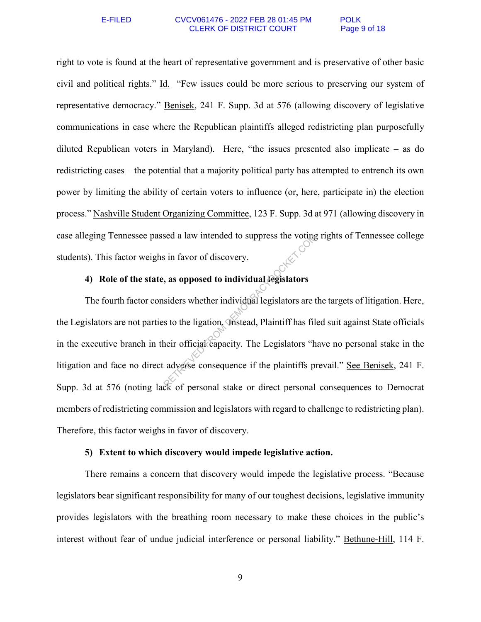### E-FILED CVCV061476 - 2022 FEB 28 01:45 PM POLK CLERK OF DISTRICT COURT Page 9 of 18

right to vote is found at the heart of representative government and is preservative of other basic civil and political rights." Id. "Few issues could be more serious to preserving our system of representative democracy." Benisek, 241 F. Supp. 3d at 576 (allowing discovery of legislative communications in case where the Republican plaintiffs alleged redistricting plan purposefully diluted Republican voters in Maryland). Here, "the issues presented also implicate – as do redistricting cases – the potential that a majority political party has attempted to entrench its own power by limiting the ability of certain voters to influence (or, here, participate in) the election process." Nashville Student Organizing Committee, 123 F. Supp. 3d at 971 (allowing discovery in case alleging Tennessee passed a law intended to suppress the voting rights of Tennessee college students). This factor weighs in favor of discovery.

# **4) Role of the state, as opposed to individual legislators**

The fourth factor considers whether individual legislators are the targets of litigation. Here, the Legislators are not parties to the ligation. Instead, Plaintiff has filed suit against State officials in the executive branch in their official capacity. The Legislators "have no personal stake in the litigation and face no direct adverse consequence if the plaintiffs prevail." See Benisek, 241 F. Supp. 3d at 576 (noting lack of personal stake or direct personal consequences to Democrat members of redistricting commission and legislators with regard to challenge to redistricting plan). Therefore, this factor weighs in favor of discovery. Sed a law intended to suppress the voting<br>
in favor of discovery.<br> **As opposed to individual legislators**<br>
siders whether individual legislators are t<br>
sto the ligation. This tead, Plaintiff has file<br>
heir official capacit

## **5) Extent to which discovery would impede legislative action.**

There remains a concern that discovery would impede the legislative process. "Because legislators bear significant responsibility for many of our toughest decisions, legislative immunity provides legislators with the breathing room necessary to make these choices in the public's interest without fear of undue judicial interference or personal liability." Bethune-Hill, 114 F.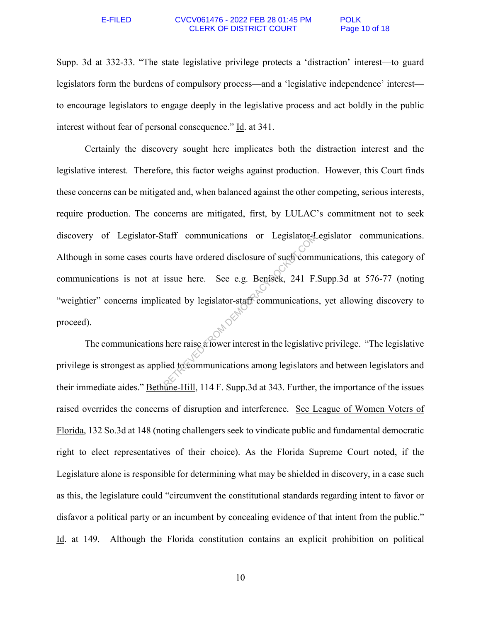### E-FILED CVCV061476 - 2022 FEB 28 01:45 PM POLK CLERK OF DISTRICT COURT Page 10 of 18

Supp. 3d at 332-33. "The state legislative privilege protects a 'distraction' interest—to guard legislators form the burdens of compulsory process—and a 'legislative independence' interest to encourage legislators to engage deeply in the legislative process and act boldly in the public interest without fear of personal consequence." Id. at 341.

Certainly the discovery sought here implicates both the distraction interest and the legislative interest. Therefore, this factor weighs against production. However, this Court finds these concerns can be mitigated and, when balanced against the other competing, serious interests, require production. The concerns are mitigated, first, by LULAC's commitment not to seek discovery of Legislator-Staff communications or Legislator-Legislator communications. Although in some cases courts have ordered disclosure of such communications, this category of communications is not at issue here. See e.g. Benisek, 241 F.Supp.3d at 576-77 (noting "weightier" concerns implicated by legislator-staff communications, yet allowing discovery to proceed). tatt communications or Legislator-4.<br>
rts have ordered disclosure of such comm<br>
issue here. <u>See e.g. Benisek</u>, 241 F.<br>
cated by legislator-staff communications<br>
here raise a fower interest in the legislative id to communi

The communications here raise a lower interest in the legislative privilege. "The legislative privilege is strongest as applied to communications among legislators and between legislators and their immediate aides." Bethune-Hill, 114 F. Supp.3d at 343. Further, the importance of the issues raised overrides the concerns of disruption and interference. See League of Women Voters of Florida, 132 So.3d at 148 (noting challengers seek to vindicate public and fundamental democratic right to elect representatives of their choice). As the Florida Supreme Court noted, if the Legislature alone is responsible for determining what may be shielded in discovery, in a case such as this, the legislature could "circumvent the constitutional standards regarding intent to favor or disfavor a political party or an incumbent by concealing evidence of that intent from the public." Id. at 149. Although the Florida constitution contains an explicit prohibition on political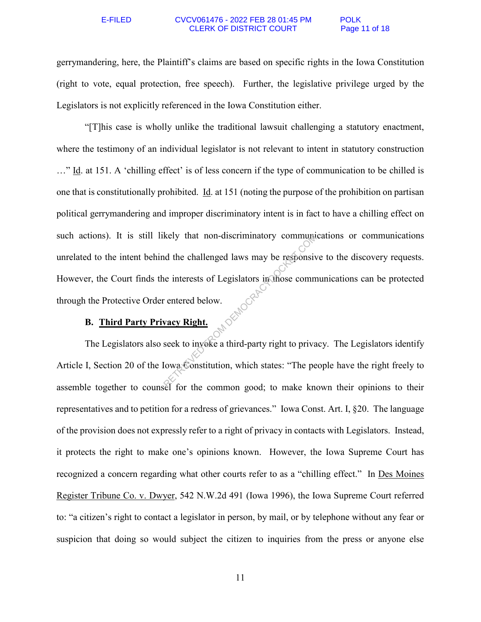### E-FILED CVCV061476 - 2022 FEB 28 01:45 PM POLK CLERK OF DISTRICT COURT Page 11 of 18

gerrymandering, here, the Plaintiff's claims are based on specific rights in the Iowa Constitution (right to vote, equal protection, free speech). Further, the legislative privilege urged by the Legislators is not explicitly referenced in the Iowa Constitution either.

"[T]his case is wholly unlike the traditional lawsuit challenging a statutory enactment, where the testimony of an individual legislator is not relevant to intent in statutory construction …" Id. at 151. A 'chilling effect' is of less concern if the type of communication to be chilled is one that is constitutionally prohibited. Id. at 151 (noting the purpose of the prohibition on partisan political gerrymandering and improper discriminatory intent is in fact to have a chilling effect on such actions). It is still likely that non-discriminatory communications or communications unrelated to the intent behind the challenged laws may be responsive to the discovery requests. However, the Court finds the interests of Legislators in those communications can be protected through the Protective Order entered below. Rely that non-discriminatory community<br>
and the challenged laws may be responsive<br>
interests of Legislators in those comm<br>
eintered below.<br>
vacy Right.<br>
seek to inveke a third-party right to priva<br>
lowa Constitution, which

# **B. Third Party Privacy Right.**

The Legislators also seek to invoke a third-party right to privacy. The Legislators identify Article I, Section 20 of the Iowa Constitution, which states: "The people have the right freely to assemble together to counsel for the common good; to make known their opinions to their representatives and to petition for a redress of grievances." Iowa Const. Art. I, §20. The language of the provision does not expressly refer to a right of privacy in contacts with Legislators. Instead, it protects the right to make one's opinions known. However, the Iowa Supreme Court has recognized a concern regarding what other courts refer to as a "chilling effect." In Des Moines Register Tribune Co. v. Dwyer, 542 N.W.2d 491 (Iowa 1996), the Iowa Supreme Court referred to: "a citizen's right to contact a legislator in person, by mail, or by telephone without any fear or suspicion that doing so would subject the citizen to inquiries from the press or anyone else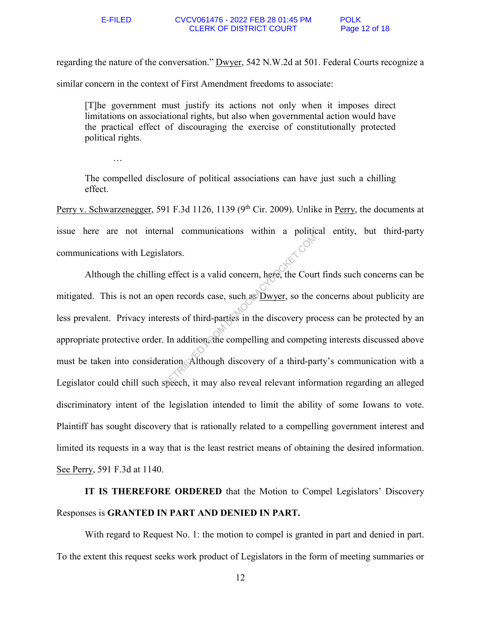regarding the nature of the conversation." Dwyer, 542 N.W.2d at 501. Federal Courts recognize a similar concern in the context of First Amendment freedoms to associate:

[T]he government must justify its actions not only when it imposes direct limitations on associational rights, but also when governmental action would have the practical effect of discouraging the exercise of constitutionally protected political rights.

…

The compelled disclosure of political associations can have just such a chilling effect.

Perry v. Schwarzenegger, 591 F.3d 1126, 1139 (9<sup>th</sup> Cir. 2009). Unlike in <u>Perry</u>, the documents at issue here are not internal communications within a political entity, but third-party communications with Legislators.

 Although the chilling effect is a valid concern, here, the Court finds such concerns can be mitigated. This is not an open records case, such as Dwyer, so the concerns about publicity are less prevalent. Privacy interests of third-parties in the discovery process can be protected by an appropriate protective order. In addition, the compelling and competing interests discussed above must be taken into consideration. Although discovery of a third-party's communication with a Legislator could chill such speech, it may also reveal relevant information regarding an alleged discriminatory intent of the legislation intended to limit the ability of some Iowans to vote. Plaintiff has sought discovery that is rationally related to a compelling government interest and limited its requests in a way that is the least restrict means of obtaining the desired information. See Perry, 591 F.3d at 1140. Reflect is a valid concern, here, the Court<br>of the Court of the Court of the Court of the Court of the Court of the Association<br>rests of third-parties in the discovery process in addition, the compelling and competitivatio

**IT IS THEREFORE ORDERED** that the Motion to Compel Legislators' Discovery Responses is **GRANTED IN PART AND DENIED IN PART.**

 With regard to Request No. 1: the motion to compel is granted in part and denied in part. To the extent this request seeks work product of Legislators in the form of meeting summaries or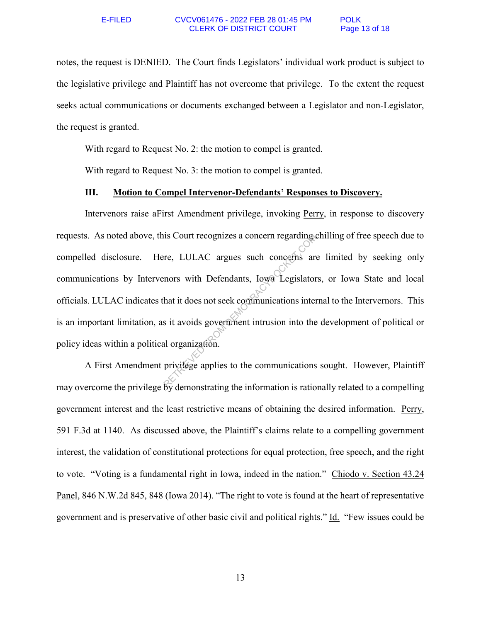notes, the request is DENIED. The Court finds Legislators' individual work product is subject to the legislative privilege and Plaintiff has not overcome that privilege. To the extent the request seeks actual communications or documents exchanged between a Legislator and non-Legislator, the request is granted.

With regard to Request No. 2: the motion to compel is granted.

With regard to Request No. 3: the motion to compel is granted.

## **III. Motion to Compel Intervenor-Defendants' Responses to Discovery.**

Intervenors raise aFirst Amendment privilege, invoking Perry, in response to discovery requests. As noted above, this Court recognizes a concern regarding chilling of free speech due to compelled disclosure. Here, LULAC argues such concerns are limited by seeking only communications by Intervenors with Defendants, Iowa Legislators, or Iowa State and local officials. LULAC indicates that it does not seek communications internal to the Intervernors. This is an important limitation, as it avoids government intrusion into the development of political or policy ideas within a political organization. The Court recognizes a concern regarding<br>the EULAC argues such concerns are<br>nors with Defendants, Iowa Legislator<br>hat it does not seek communications inter<br>s it avoids government intrusion into the<br>al organization.<br>privile

A First Amendment privilege applies to the communications sought. However, Plaintiff may overcome the privilege by demonstrating the information is rationally related to a compelling government interest and the least restrictive means of obtaining the desired information. Perry, 591 F.3d at 1140. As discussed above, the Plaintiff's claims relate to a compelling government interest, the validation of constitutional protections for equal protection, free speech, and the right to vote. "Voting is a fundamental right in Iowa, indeed in the nation." Chiodo v. Section 43.24 Panel, 846 N.W.2d 845, 848 (Iowa 2014). "The right to vote is found at the heart of representative government and is preservative of other basic civil and political rights." Id. "Few issues could be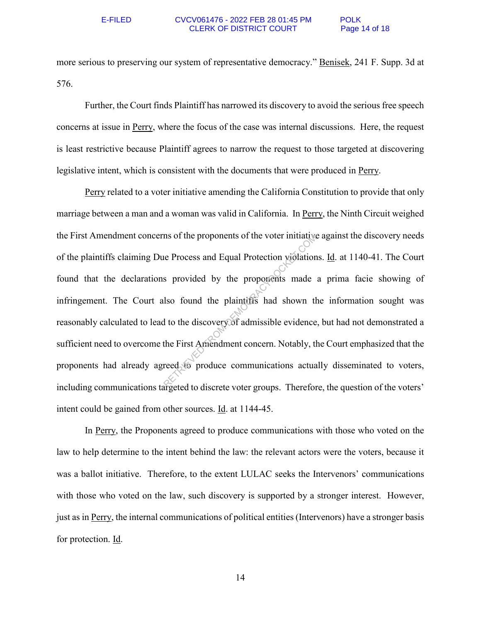more serious to preserving our system of representative democracy." Benisek, 241 F. Supp. 3d at 576.

Further, the Court finds Plaintiff has narrowed its discovery to avoid the serious free speech concerns at issue in Perry, where the focus of the case was internal discussions. Here, the request is least restrictive because Plaintiff agrees to narrow the request to those targeted at discovering legislative intent, which is consistent with the documents that were produced in Perry.

Perry related to a voter initiative amending the California Constitution to provide that only marriage between a man and a woman was valid in California. In Perry, the Ninth Circuit weighed the First Amendment concerns of the proponents of the voter initiative against the discovery needs of the plaintiffs claiming Due Process and Equal Protection violations. Id. at 1140-41. The Court found that the declarations provided by the proponents made a prima facie showing of infringement. The Court also found the plaintiffs had shown the information sought was reasonably calculated to lead to the discovery of admissible evidence, but had not demonstrated a sufficient need to overcome the First Amendment concern. Notably, the Court emphasized that the proponents had already agreed to produce communications actually disseminated to voters, including communications targeted to discrete voter groups. Therefore, the question of the voters' intent could be gained from other sources. Id. at 1144-45. In the proponents of the voter initiative<br>
Reflection proponents and<br>
Reflection proponents made<br>
Iso found the plaintiffs had shown the<br>
It to the discovery of admissible evidence<br>
the First Amendment concern. Notably, th

In Perry, the Proponents agreed to produce communications with those who voted on the law to help determine to the intent behind the law: the relevant actors were the voters, because it was a ballot initiative. Therefore, to the extent LULAC seeks the Intervenors' communications with those who voted on the law, such discovery is supported by a stronger interest. However, just as in Perry, the internal communications of political entities (Intervenors) have a stronger basis for protection. Id.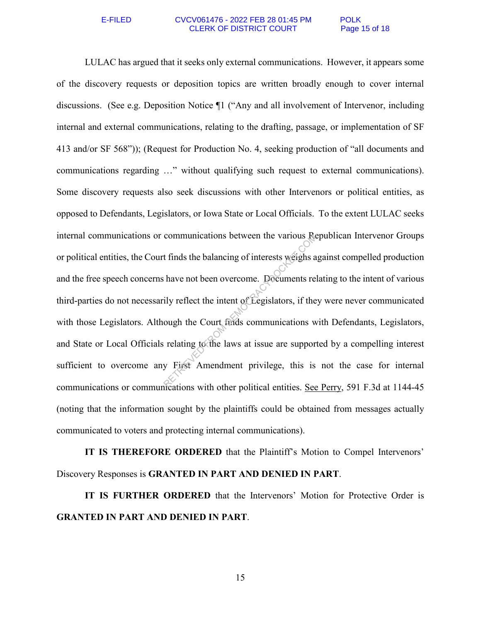### E-FILED CVCV061476 - 2022 FEB 28 01:45 PM POLK CLERK OF DISTRICT COURT Page 15 of 18

LULAC has argued that it seeks only external communications. However, it appears some of the discovery requests or deposition topics are written broadly enough to cover internal discussions. (See e.g. Deposition Notice ¶1 ("Any and all involvement of Intervenor, including internal and external communications, relating to the drafting, passage, or implementation of SF 413 and/or SF 568")); (Request for Production No. 4, seeking production of "all documents and communications regarding …" without qualifying such request to external communications). Some discovery requests also seek discussions with other Intervenors or political entities, as opposed to Defendants, Legislators, or Iowa State or Local Officials. To the extent LULAC seeks internal communications or communications between the various Republican Intervenor Groups or political entities, the Court finds the balancing of interests weighs against compelled production and the free speech concerns have not been overcome. Documents relating to the intent of various third-parties do not necessarily reflect the intent of Legislators, if they were never communicated with those Legislators. Although the Court finds communications with Defendants, Legislators, and State or Local Officials relating to the laws at issue are supported by a compelling interest sufficient to overcome any First Amendment privilege, this is not the case for internal communications or communications with other political entities. See Perry, 591 F.3d at 1144-45 (noting that the information sought by the plaintiffs could be obtained from messages actually communicated to voters and protecting internal communications). communications between the various Ref<br>
t finds the balancing of interests weighs a<br>
have not been overcome. Documents ref<br>
ily reflect the intent of Legislators, if the<br>
ough the Court finds communications w<br>
relating to

**IT IS THEREFORE ORDERED** that the Plaintiff's Motion to Compel Intervenors' Discovery Responses is **GRANTED IN PART AND DENIED IN PART**.

**IT IS FURTHER ORDERED** that the Intervenors' Motion for Protective Order is **GRANTED IN PART AND DENIED IN PART**.

15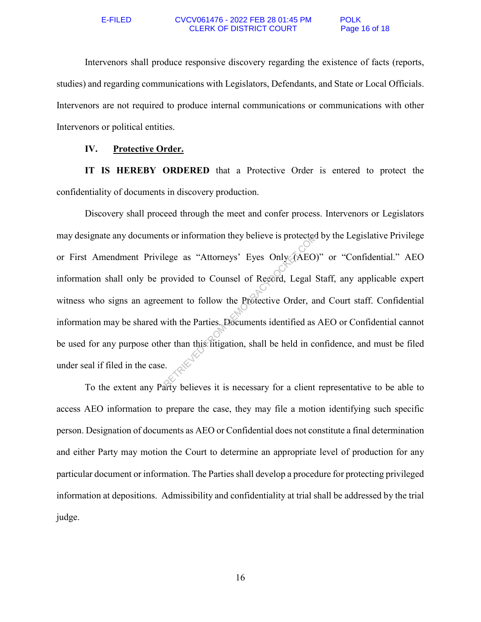Intervenors shall produce responsive discovery regarding the existence of facts (reports, studies) and regarding communications with Legislators, Defendants, and State or Local Officials. Intervenors are not required to produce internal communications or communications with other Intervenors or political entities.

## **IV. Protective Order.**

**IT IS HEREBY ORDERED** that a Protective Order is entered to protect the confidentiality of documents in discovery production.

Discovery shall proceed through the meet and confer process. Intervenors or Legislators may designate any documents or information they believe is protected by the Legislative Privilege or First Amendment Privilege as "Attorneys' Eyes Only (AEO)" or "Confidential." AEO information shall only be provided to Counsel of Record, Legal Staff, any applicable expert witness who signs an agreement to follow the Protective Order, and Court staff. Confidential information may be shared with the Parties. Documents identified as AEO or Confidential cannot be used for any purpose other than this litigation, shall be held in confidence, and must be filed under seal if filed in the case. It's or information they believe is protected<br>lege as "Attorneys' Eyes Only (AEO)<br>provided to Counsel of Record, Legal S<br>ement to follow the Protective Order, an<br>with the Parties. Documents identified as<br>er than this litig

To the extent any Party believes it is necessary for a client representative to be able to access AEO information to prepare the case, they may file a motion identifying such specific person. Designation of documents as AEO or Confidential does not constitute a final determination and either Party may motion the Court to determine an appropriate level of production for any particular document or information. The Parties shall develop a procedure for protecting privileged information at depositions. Admissibility and confidentiality at trial shall be addressed by the trial judge.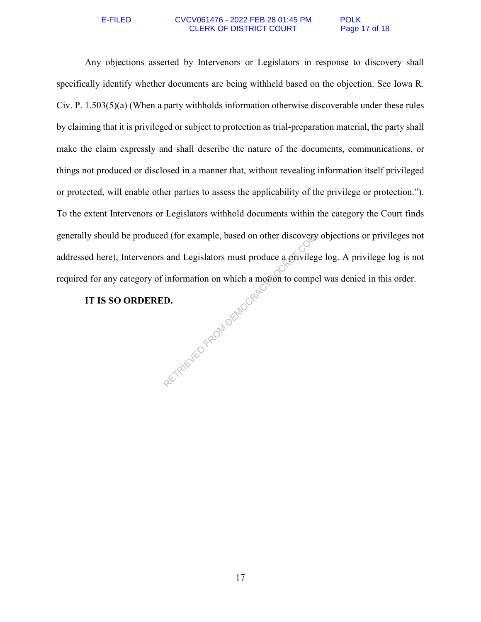### E-FILED CVCV061476 - 2022 FEB 28 01:45 PM POLK<br>CLERK OF DISTRICT COURT Page 17 of 18 **CLERK OF DISTRICT COURT**

Any objections asserted by Intervenors or Legislators in response to discovery shall specifically identify whether documents are being withheld based on the objection. See Iowa R. Civ. P. 1.503(5)(a) (When a party withholds information otherwise discoverable under these rules by claiming that it is privileged or subject to protection as trial-preparation material, the party shall make the claim expressly and shall describe the nature of the documents, communications, or things not produced or disclosed in a manner that, without revealing information itself privileged or protected, will enable other parties to assess the applicability of the privilege or protection."). To the extent Intervenors or Legislators withhold documents within the category the Court finds generally should be produced (for example, based on other discovery objections or privileges not addressed here), Intervenors and Legislators must produce a privilege log. A privilege log is not required for any category of information on which a motion to compel was denied in this order. RETRIEVED FROM DEMOCRAC

# **IT IS SO ORDERED.**